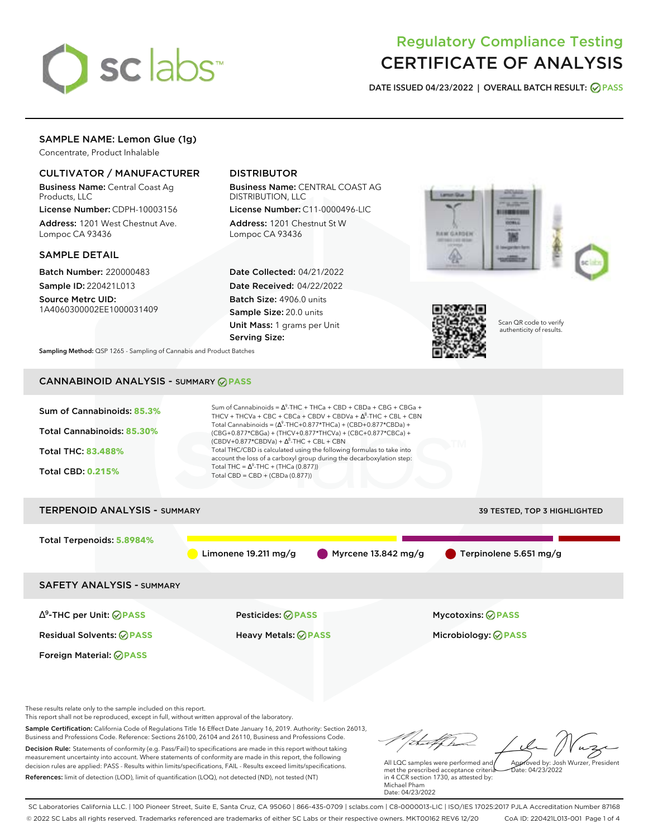

# Regulatory Compliance Testing CERTIFICATE OF ANALYSIS

**DATE ISSUED 04/23/2022 | OVERALL BATCH RESULT: PASS**

# SAMPLE NAME: Lemon Glue (1g)

Concentrate, Product Inhalable

### CULTIVATOR / MANUFACTURER

Business Name: Central Coast Ag Products, LLC

License Number: CDPH-10003156 Address: 1201 West Chestnut Ave. Lompoc CA 93436

#### SAMPLE DETAIL

Batch Number: 220000483 Sample ID: 220421L013

Source Metrc UID: 1A4060300002EE1000031409

## DISTRIBUTOR

Business Name: CENTRAL COAST AG DISTRIBUTION, LLC

License Number: C11-0000496-LIC Address: 1201 Chestnut St W Lompoc CA 93436

Date Collected: 04/21/2022 Date Received: 04/22/2022 Batch Size: 4906.0 units Sample Size: 20.0 units Unit Mass: 1 grams per Unit Serving Size:





Scan QR code to verify authenticity of results.

**Sampling Method:** QSP 1265 - Sampling of Cannabis and Product Batches

# CANNABINOID ANALYSIS - SUMMARY **PASS**



Sample Certification: California Code of Regulations Title 16 Effect Date January 16, 2019. Authority: Section 26013, Business and Professions Code. Reference: Sections 26100, 26104 and 26110, Business and Professions Code. Decision Rule: Statements of conformity (e.g. Pass/Fail) to specifications are made in this report without taking measurement uncertainty into account. Where statements of conformity are made in this report, the following decision rules are applied: PASS - Results within limits/specifications, FAIL - Results exceed limits/specifications.

References: limit of detection (LOD), limit of quantification (LOQ), not detected (ND), not tested (NT)

All LQC samples were performed and Approved by: Josh Wurzer, President

 $ate: 04/23/2022$ 

met the prescribed acceptance criteria in 4 CCR section 1730, as attested by: Michael Pham Date: 04/23/2022

SC Laboratories California LLC. | 100 Pioneer Street, Suite E, Santa Cruz, CA 95060 | 866-435-0709 | sclabs.com | C8-0000013-LIC | ISO/IES 17025:2017 PJLA Accreditation Number 87168 © 2022 SC Labs all rights reserved. Trademarks referenced are trademarks of either SC Labs or their respective owners. MKT00162 REV6 12/20 CoA ID: 220421L013-001 Page 1 of 4